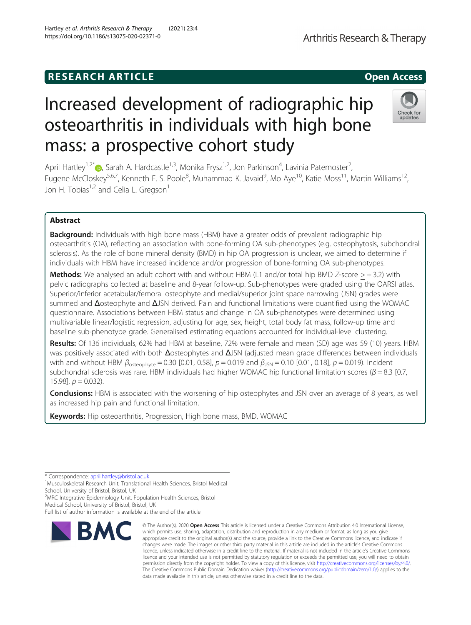## **RESEARCH ARTICLE Example 2018 12:00 Open Access**

# Increased development of radiographic hip osteoarthritis in individuals with high bone mass: a prospective cohort study

April Hartley<sup>1[,](http://orcid.org/0000-0003-4932-1588)2\*</sup>®, Sarah A. Hardcastle<sup>1,3</sup>, Monika Frysz<sup>1,2</sup>, Jon Parkinson<sup>4</sup>, Lavinia Paternoster<sup>2</sup> , Eugene McCloskey<sup>5,6,7</sup>, Kenneth E. S. Poole<sup>8</sup>, Muhammad K. Javaid<sup>9</sup>, Mo Aye<sup>10</sup>, Katie Moss<sup>11</sup>, Martin Williams<sup>12</sup>, Jon H. Tobias<sup>1,2</sup> and Celia L. Gregson<sup>1</sup>

### Abstract

**Background:** Individuals with high bone mass (HBM) have a greater odds of prevalent radiographic hip osteoarthritis (OA), reflecting an association with bone-forming OA sub-phenotypes (e.g. osteophytosis, subchondral sclerosis). As the role of bone mineral density (BMD) in hip OA progression is unclear, we aimed to determine if individuals with HBM have increased incidence and/or progression of bone-forming OA sub-phenotypes.

**Methods:** We analysed an adult cohort with and without HBM (L1 and/or total hip BMD Z-score  $>$  + 3.2) with pelvic radiographs collected at baseline and 8-year follow-up. Sub-phenotypes were graded using the OARSI atlas. Superior/inferior acetabular/femoral osteophyte and medial/superior joint space narrowing (JSN) grades were summed and Δosteophyte and ΔJSN derived. Pain and functional limitations were quantified using the WOMAC questionnaire. Associations between HBM status and change in OA sub-phenotypes were determined using multivariable linear/logistic regression, adjusting for age, sex, height, total body fat mass, follow-up time and baseline sub-phenotype grade. Generalised estimating equations accounted for individual-level clustering.

Results: Of 136 individuals, 62% had HBM at baseline, 72% were female and mean (SD) age was 59 (10) years. HBM was positively associated with both Δosteophytes and ΔJSN (adjusted mean grade differences between individuals with and without HBM  $β_{\text{osteophyte}} = 0.30 [0.01, 0.58], p = 0.019$  and  $β_{\text{JSN}} = 0.10 [0.01, 0.18], p = 0.019$ ). Incident subchondral sclerosis was rare. HBM individuals had higher WOMAC hip functional limitation scores ( $\beta$  = 8.3 [0.7, 15.98],  $p = 0.032$ ).

**Conclusions:** HBM is associated with the worsening of hip osteophytes and JSN over an average of 8 years, as well as increased hip pain and functional limitation.

Keywords: Hip osteoarthritis, Progression, High bone mass, BMD, WOMAC

\* Correspondence: [april.hartley@bristol.ac.uk](mailto:april.hartley@bristol.ac.uk) <sup>1</sup>

<sup>1</sup>Musculoskeletal Research Unit, Translational Health Sciences, Bristol Medical School, University of Bristol, Bristol, UK

<sup>2</sup>MRC Integrative Epidemiology Unit, Population Health Sciences, Bristol

Medical School, University of Bristol, Bristol, UK

**RMC** 

© The Author(s), 2020 **Open Access** This article is licensed under a Creative Commons Attribution 4.0 International License, which permits use, sharing, adaptation, distribution and reproduction in any medium or format, as long as you give

Full list of author information is available at the end of the article





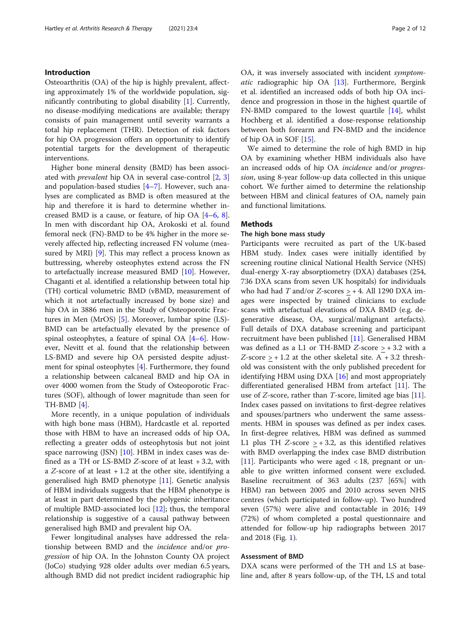#### Introduction

Osteoarthritis (OA) of the hip is highly prevalent, affecting approximately 1% of the worldwide population, significantly contributing to global disability [\[1](#page-10-0)]. Currently, no disease-modifying medications are available; therapy consists of pain management until severity warrants a total hip replacement (THR). Detection of risk factors for hip OA progression offers an opportunity to identify potential targets for the development of therapeutic interventions.

Higher bone mineral density (BMD) has been associated with prevalent hip OA in several case-control [\[2](#page-10-0), [3](#page-10-0)] and population-based studies [[4](#page-10-0)–[7\]](#page-10-0). However, such analyses are complicated as BMD is often measured at the hip and therefore it is hard to determine whether increased BMD is a cause, or feature, of hip OA [[4](#page-10-0)–[6,](#page-10-0) [8](#page-10-0)]. In men with discordant hip OA, Arokoski et al. found femoral neck (FN)-BMD to be 4% higher in the more severely affected hip, reflecting increased FN volume (measured by MRI) [\[9\]](#page-10-0). This may reflect a process known as buttressing, whereby osteophytes extend across the FN to artefactually increase measured BMD [[10](#page-10-0)]. However, Chaganti et al. identified a relationship between total hip (TH) cortical volumetric BMD (vBMD, measurement of which it not artefactually increased by bone size) and hip OA in 3886 men in the Study of Osteoporotic Fractures in Men (MrOS) [[5\]](#page-10-0). Moreover, lumbar spine (LS)- BMD can be artefactually elevated by the presence of spinal osteophytes, a feature of spinal OA [\[4](#page-10-0)–[6\]](#page-10-0). However, Nevitt et al. found that the relationship between LS-BMD and severe hip OA persisted despite adjustment for spinal osteophytes [\[4](#page-10-0)]. Furthermore, they found a relationship between calcaneal BMD and hip OA in over 4000 women from the Study of Osteoporotic Fractures (SOF), although of lower magnitude than seen for TH-BMD [[4](#page-10-0)].

More recently, in a unique population of individuals with high bone mass (HBM), Hardcastle et al. reported those with HBM to have an increased odds of hip OA, reflecting a greater odds of osteophytosis but not joint space narrowing (JSN) [\[10\]](#page-10-0). HBM in index cases was defined as a TH or LS-BMD Z-score of at least + 3.2, with a Z-score of at least  $+1.2$  at the other site, identifying a generalised high BMD phenotype [\[11](#page-10-0)]. Genetic analysis of HBM individuals suggests that the HBM phenotype is at least in part determined by the polygenic inheritance of multiple BMD-associated loci [\[12](#page-10-0)]; thus, the temporal relationship is suggestive of a causal pathway between generalised high BMD and prevalent hip OA.

Fewer longitudinal analyses have addressed the relationship between BMD and the *incidence* and/or *pro*gression of hip OA. In the Johnston County OA project (JoCo) studying 928 older adults over median 6.5 years, although BMD did not predict incident radiographic hip OA, it was inversely associated with incident symptomatic radiographic hip OA [[13\]](#page-10-0). Furthermore, Bergink et al. identified an increased odds of both hip OA incidence and progression in those in the highest quartile of FN-BMD compared to the lowest quartile [\[14](#page-10-0)], whilst Hochberg et al. identified a dose-response relationship between both forearm and FN-BMD and the incidence of hip OA in SOF [\[15\]](#page-10-0).

We aimed to determine the role of high BMD in hip OA by examining whether HBM individuals also have an increased odds of hip OA incidence and/or progression, using 8-year follow-up data collected in this unique cohort. We further aimed to determine the relationship between HBM and clinical features of OA, namely pain and functional limitations.

#### Methods

#### The high bone mass study

Participants were recruited as part of the UK-based HBM study. Index cases were initially identified by screening routine clinical National Health Service (NHS) dual-energy X-ray absorptiometry (DXA) databases (254, 736 DXA scans from seven UK hospitals) for individuals who had had T and/or Z-scores  $> +4$ . All 1290 DXA images were inspected by trained clinicians to exclude scans with artefactual elevations of DXA BMD (e.g. degenerative disease, OA, surgical/malignant artefacts). Full details of DXA database screening and participant recruitment have been published [\[11](#page-10-0)]. Generalised HBM was defined as a L1 or TH-BMD Z-score  $> +3.2$  with a Z-score  $> + 1.2$  at the other skeletal site. A  $+ 3.2$  threshold was consistent with the only published precedent for identifying HBM using DXA [[16\]](#page-10-0) and most appropriately differentiated generalised HBM from artefact [[11\]](#page-10-0). The use of Z-score, rather than T-score, limited age bias [\[11](#page-10-0)]. Index cases passed on invitations to first-degree relatives and spouses/partners who underwent the same assessments. HBM in spouses was defined as per index cases. In first-degree relatives, HBM was defined as summed L1 plus TH  $Z$ -score  $> +3.2$ , as this identified relatives with BMD overlapping the index case BMD distribution [[11\]](#page-10-0). Participants who were aged  $\langle 18,$  pregnant or unable to give written informed consent were excluded. Baseline recruitment of 363 adults (237 [65%] with HBM) ran between 2005 and 2010 across seven NHS centres (which participated in follow-up). Two hundred seven (57%) were alive and contactable in 2016; 149 (72%) of whom completed a postal questionnaire and attended for follow-up hip radiographs between 2017 and 2018 (Fig. [1\)](#page-2-0).

#### Assessment of BMD

DXA scans were performed of the TH and LS at baseline and, after 8 years follow-up, of the TH, LS and total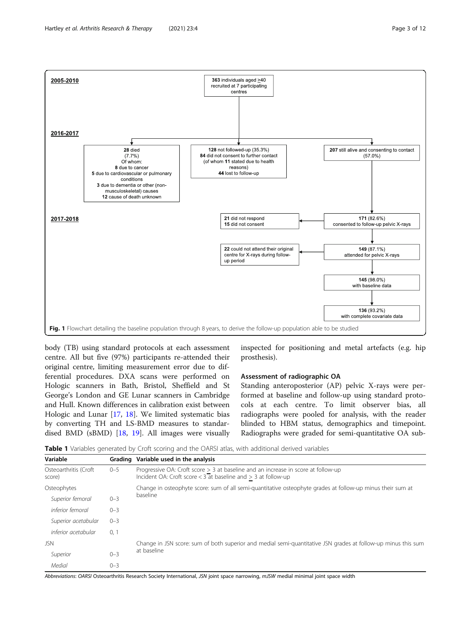<span id="page-2-0"></span>

body (TB) using standard protocols at each assessment centre. All but five (97%) participants re-attended their original centre, limiting measurement error due to differential procedures. DXA scans were performed on Hologic scanners in Bath, Bristol, Sheffield and St George's London and GE Lunar scanners in Cambridge and Hull. Known differences in calibration exist between Hologic and Lunar [[17,](#page-10-0) [18\]](#page-10-0). We limited systematic bias by converting TH and LS-BMD measures to standardised BMD (sBMD) [[18,](#page-10-0) [19](#page-10-0)]. All images were visually

inspected for positioning and metal artefacts (e.g. hip prosthesis).

#### Assessment of radiographic OA

Standing anteroposterior (AP) pelvic X-rays were performed at baseline and follow-up using standard protocols at each centre. To limit observer bias, all radiographs were pooled for analysis, with the reader blinded to HBM status, demographics and timepoint. Radiographs were graded for semi-quantitative OA sub-

**Table 1** Variables generated by Croft scoring and the OARSI atlas, with additional derived variables

| Variable                        | Grading | Variable used in the analysis                                                                                                                            |  |  |  |
|---------------------------------|---------|----------------------------------------------------------------------------------------------------------------------------------------------------------|--|--|--|
| Osteoarthritis (Croft<br>score) | $0 - 5$ | Progressive OA: Croft score $> 3$ at baseline and an increase in score at follow-up<br>Incident OA: Croft score $<$ 3 at baseline and $>$ 3 at follow-up |  |  |  |
| Osteophytes                     |         | Change in osteophyte score: sum of all semi-quantitative osteophyte grades at follow-up minus their sum at                                               |  |  |  |
| Superior femoral                | $0 - 3$ | baseline                                                                                                                                                 |  |  |  |
| inferior femoral                | $0 - 3$ |                                                                                                                                                          |  |  |  |
| Superior acetabular             | $0 - 3$ |                                                                                                                                                          |  |  |  |
| inferior acetabular             | 0, 1    |                                                                                                                                                          |  |  |  |
| JSN                             |         | Change in JSN score: sum of both superior and medial semi-quantitative JSN grades at follow-up minus this sum                                            |  |  |  |
| Superior                        | $0 - 3$ | at baseline                                                                                                                                              |  |  |  |
| Medial                          | $0 - 3$ |                                                                                                                                                          |  |  |  |

Abbreviations: OARSI Osteoarthritis Research Society International, JSN joint space narrowing, mJSW medial minimal joint space width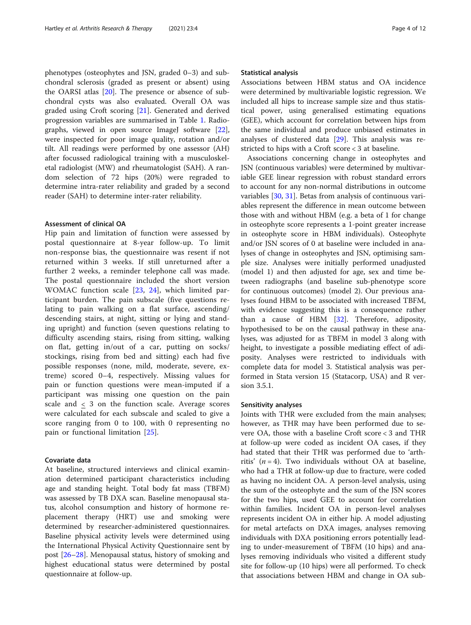phenotypes (osteophytes and JSN, graded 0–3) and subchondral sclerosis (graded as present or absent) using the OARSI atlas [\[20](#page-10-0)]. The presence or absence of subchondral cysts was also evaluated. Overall OA was graded using Croft scoring [\[21](#page-10-0)]. Generated and derived progression variables are summarised in Table [1](#page-2-0). Radio-graphs, viewed in open source ImageJ software [\[22](#page-10-0)], were inspected for poor image quality, rotation and/or tilt. All readings were performed by one assessor (AH) after focussed radiological training with a musculoskeletal radiologist (MW) and rheumatologist (SAH). A random selection of 72 hips (20%) were regraded to determine intra-rater reliability and graded by a second reader (SAH) to determine inter-rater reliability.

#### Assessment of clinical OA

Hip pain and limitation of function were assessed by postal questionnaire at 8-year follow-up. To limit non-response bias, the questionnaire was resent if not returned within 3 weeks. If still unreturned after a further 2 weeks, a reminder telephone call was made. The postal questionnaire included the short version WOMAC function scale [[23](#page-10-0), [24](#page-10-0)], which limited participant burden. The pain subscale (five questions relating to pain walking on a flat surface, ascending/ descending stairs, at night, sitting or lying and standing upright) and function (seven questions relating to difficulty ascending stairs, rising from sitting, walking on flat, getting in/out of a car, putting on socks/ stockings, rising from bed and sitting) each had five possible responses (none, mild, moderate, severe, extreme) scored 0–4, respectively. Missing values for pain or function questions were mean-imputed if a participant was missing one question on the pain scale and < 3 on the function scale. Average scores were calculated for each subscale and scaled to give a score ranging from 0 to 100, with 0 representing no pain or functional limitation [\[25](#page-10-0)].

#### Covariate data

At baseline, structured interviews and clinical examination determined participant characteristics including age and standing height. Total body fat mass (TBFM) was assessed by TB DXA scan. Baseline menopausal status, alcohol consumption and history of hormone replacement therapy (HRT) use and smoking were determined by researcher-administered questionnaires. Baseline physical activity levels were determined using the International Physical Activity Questionnaire sent by post [\[26](#page-10-0)–[28\]](#page-10-0). Menopausal status, history of smoking and highest educational status were determined by postal questionnaire at follow-up.

#### Statistical analysis

Associations between HBM status and OA incidence were determined by multivariable logistic regression. We included all hips to increase sample size and thus statistical power, using generalised estimating equations (GEE), which account for correlation between hips from the same individual and produce unbiased estimates in analyses of clustered data [\[29](#page-10-0)]. This analysis was restricted to hips with a Croft score < 3 at baseline.

Associations concerning change in osteophytes and JSN (continuous variables) were determined by multivariable GEE linear regression with robust standard errors to account for any non-normal distributions in outcome variables [\[30,](#page-10-0) [31\]](#page-10-0). Betas from analysis of continuous variables represent the difference in mean outcome between those with and without HBM (e.g. a beta of 1 for change in osteophyte score represents a 1-point greater increase in osteophyte score in HBM individuals). Osteophyte and/or JSN scores of 0 at baseline were included in analyses of change in osteophytes and JSN, optimising sample size. Analyses were initially performed unadjusted (model 1) and then adjusted for age, sex and time between radiographs (and baseline sub-phenotype score for continuous outcomes) (model 2). Our previous analyses found HBM to be associated with increased TBFM, with evidence suggesting this is a consequence rather than a cause of HBM [\[32](#page-10-0)]. Therefore, adiposity, hypothesised to be on the causal pathway in these analyses, was adjusted for as TBFM in model 3 along with height, to investigate a possible mediating effect of adiposity. Analyses were restricted to individuals with complete data for model 3. Statistical analysis was performed in Stata version 15 (Statacorp, USA) and R version 3.5.1.

#### Sensitivity analyses

Joints with THR were excluded from the main analyses; however, as THR may have been performed due to severe OA, those with a baseline Croft score < 3 and THR at follow-up were coded as incident OA cases, if they had stated that their THR was performed due to 'arthritis'  $(n = 4)$ . Two individuals without OA at baseline, who had a THR at follow-up due to fracture, were coded as having no incident OA. A person-level analysis, using the sum of the osteophyte and the sum of the JSN scores for the two hips, used GEE to account for correlation within families. Incident OA in person-level analyses represents incident OA in either hip. A model adjusting for metal artefacts on DXA images, analyses removing individuals with DXA positioning errors potentially leading to under-measurement of TBFM (10 hips) and analyses removing individuals who visited a different study site for follow-up (10 hips) were all performed. To check that associations between HBM and change in OA sub-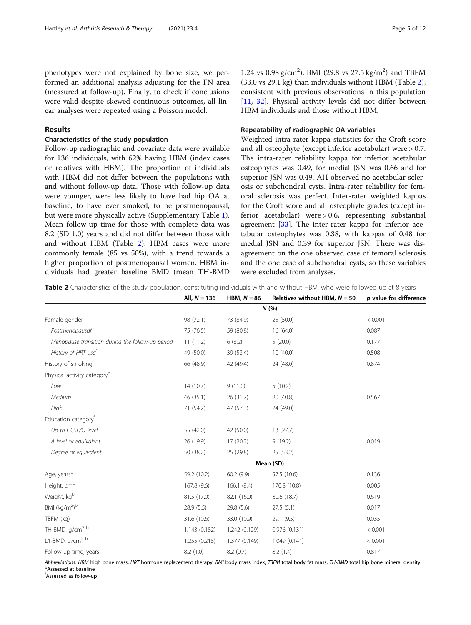phenotypes were not explained by bone size, we performed an additional analysis adjusting for the FN area (measured at follow-up). Finally, to check if conclusions were valid despite skewed continuous outcomes, all linear analyses were repeated using a Poisson model.

#### Results

#### Characteristics of the study population

Follow-up radiographic and covariate data were available for 136 individuals, with 62% having HBM (index cases or relatives with HBM). The proportion of individuals with HBM did not differ between the populations with and without follow-up data. Those with follow-up data were younger, were less likely to have had hip OA at baseline, to have ever smoked, to be postmenopausal, but were more physically active (Supplementary Table [1](#page-9-0)). Mean follow-up time for those with complete data was 8.2 (SD 1.0) years and did not differ between those with and without HBM (Table 2). HBM cases were more commonly female (85 vs 50%), with a trend towards a higher proportion of postmenopausal women. HBM individuals had greater baseline BMD (mean TH-BMD

#### Repeatability of radiographic OA variables

Weighted intra-rater kappa statistics for the Croft score and all osteophyte (except inferior acetabular) were > 0.7. The intra-rater reliability kappa for inferior acetabular osteophytes was 0.49, for medial JSN was 0.66 and for superior JSN was 0.49. AH observed no acetabular sclerosis or subchondral cysts. Intra-rater reliability for femoral sclerosis was perfect. Inter-rater weighted kappas for the Croft score and all osteophyte grades (except inferior acetabular) were > 0.6, representing substantial agreement  $[33]$ . The inter-rater kappa for inferior acetabular osteophytes was 0.38, with kappas of 0.48 for medial JSN and 0.39 for superior JSN. There was disagreement on the one observed case of femoral sclerosis and the one case of subchondral cysts, so these variables were excluded from analyses.

Table 2 Characteristics of the study population, constituting individuals with and without HBM, who were followed up at 8 years

|                                                  | All, $N = 136$ | HBM, $N = 86$ | Relatives without HBM, $N = 50$ | p value for difference |  |  |  |  |
|--------------------------------------------------|----------------|---------------|---------------------------------|------------------------|--|--|--|--|
|                                                  | N(%)           |               |                                 |                        |  |  |  |  |
| Female gender                                    | 98 (72.1)      | 73 (84.9)     | 25 (50.0)                       | < 0.001                |  |  |  |  |
| Postmenopausal <sup>b</sup>                      | 75 (76.5)      | 59 (80.8)     | 16 (64.0)                       | 0.087                  |  |  |  |  |
| Menopause transition during the follow-up period | 11(11.2)       | 6(8.2)        | 5(20.0)                         | 0.177                  |  |  |  |  |
| History of HRT use <sup>t</sup>                  | 49 (50.0)      | 39 (53.4)     | 10(40.0)                        | 0.508                  |  |  |  |  |
| History of smoking <sup>f</sup>                  | 66 (48.9)      | 42 (49.4)     | 24 (48.0)                       | 0.874                  |  |  |  |  |
| Physical activity category <sup>b</sup>          |                |               |                                 |                        |  |  |  |  |
| Low                                              | 14(10.7)       | 9(11.0)       | 5(10.2)                         |                        |  |  |  |  |
| Medium                                           | 46 (35.1)      | 26 (31.7)     | 20 (40.8)                       | 0.567                  |  |  |  |  |
| High                                             | 71 (54.2)      | 47 (57.3)     | 24 (49.0)                       |                        |  |  |  |  |
| Education category <sup>†</sup>                  |                |               |                                 |                        |  |  |  |  |
| Up to GCSE/O level                               | 55 (42.0)      | 42 (50.0)     | 13(27.7)                        |                        |  |  |  |  |
| A level or equivalent                            | 26 (19.9)      | 17 (20.2)     | 9(19.2)                         | 0.019                  |  |  |  |  |
| Degree or equivalent                             | 50 (38.2)      | 25 (29.8)     | 25 (53.2)                       |                        |  |  |  |  |
|                                                  | Mean (SD)      |               |                                 |                        |  |  |  |  |
| Age, years <sup>b</sup>                          | 59.2 (10.2)    | 60.2(9.9)     | 57.5 (10.6)                     | 0.136                  |  |  |  |  |
| Height, cm <sup>b</sup>                          | 167.8 (9.6)    | 166.1(8.4)    | 170.8 (10.8)                    | 0.005                  |  |  |  |  |
| Weight, kgb                                      | 81.5 (17.0)    | 82.1 (16.0)   | 80.6 (18.7)                     | 0.619                  |  |  |  |  |
| BMI (kg/m <sup>2)b</sup>                         | 28.9(5.5)      | 29.8 (5.6)    | 27.5(5.1)                       | 0.017                  |  |  |  |  |
| $TBFM$ $(kq)^{t}$                                | 31.6 (10.6)    | 33.0 (10.9)   | 29.1 (9.5)                      | 0.035                  |  |  |  |  |
| TH-BMD, g/cm <sup>2 b</sup>                      | 1.143(0.182)   | 1.242 (0.129) | 0.976(0.131)                    | < 0.001                |  |  |  |  |
| L1-BMD, g/cm <sup>2 b</sup>                      | 1.255(0.215)   | 1.377 (0.149) | 1.049(0.141)                    | < 0.001                |  |  |  |  |
| Follow-up time, years                            | 8.2(1.0)       | 8.2(0.7)      | 8.2 (1.4)                       | 0.817                  |  |  |  |  |

Abbreviations: HBM high bone mass, HRT hormone replacement therapy, BMI body mass index, TBFM total body fat mass, TH-BMD total hip bone mineral density Assessed at baseline

f Assessed as follow-up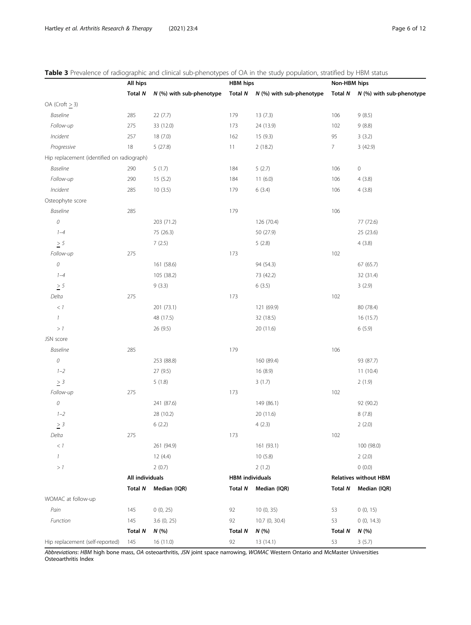<span id="page-5-0"></span>Table 3 Prevalence of radiographic and clinical sub-phenotypes of OA in the study population, stratified by HBM status

|                                            | All hips        |                          | <b>HBM hips</b>        |                                      | Non-HBM hips   |                                      |
|--------------------------------------------|-----------------|--------------------------|------------------------|--------------------------------------|----------------|--------------------------------------|
|                                            | Total N         | N (%) with sub-phenotype |                        | Total $N$ $N$ (%) with sub-phenotype |                | Total $N$ $N$ (%) with sub-phenotype |
| OA (Croft > 3)                             |                 |                          |                        |                                      |                |                                      |
| <b>Baseline</b>                            | 285             | 22 (7.7)                 | 179                    | 13(7.3)                              | 106            | 9(8.5)                               |
| Follow-up                                  | 275             | 33 (12.0)                | 173                    | 24 (13.9)                            | 102            | 9(8.8)                               |
| Incident                                   | 257             | 18(7.0)                  | 162                    | 15(9.3)                              | 95             | 3(3.2)                               |
| Progressive                                | 18              | 5(27.8)                  | 11                     | 2(18.2)                              | $\overline{7}$ | 3(42.9)                              |
| Hip replacement (identified on radiograph) |                 |                          |                        |                                      |                |                                      |
| <b>Baseline</b>                            | 290             | 5(1.7)                   | 184                    | 5(2.7)                               | 106            | $\mathsf{O}\xspace$                  |
| Follow-up                                  | 290             | 15(5.2)                  | 184                    | 11(6.0)                              | 106            | 4(3.8)                               |
| Incident                                   | 285             | 10(3.5)                  | 179                    | 6(3.4)                               | 106            | 4(3.8)                               |
| Osteophyte score                           |                 |                          |                        |                                      |                |                                      |
| <b>Baseline</b>                            | 285             |                          | 179                    |                                      | 106            |                                      |
| ${\cal O}$                                 |                 | 203 (71.2)               |                        | 126 (70.4)                           |                | 77 (72.6)                            |
| $1 - 4$                                    |                 | 75 (26.3)                |                        | 50 (27.9)                            |                | 25 (23.6)                            |
| $\geq$ 5                                   |                 | 7(2.5)                   |                        | 5(2.8)                               |                | 4(3.8)                               |
| Follow-up                                  | 275             |                          | 173                    |                                      | 102            |                                      |
| $\cal O$                                   |                 | 161 (58.6)               |                        | 94 (54.3)                            |                | 67 (65.7)                            |
| $1 - 4$                                    |                 | 105 (38.2)               |                        | 73 (42.2)                            |                | 32 (31.4)                            |
| $\geq$ 5                                   |                 | 9(3.3)                   |                        | 6(3.5)                               |                | 3(2.9)                               |
| Delta                                      | 275             |                          | 173                    |                                      | 102            |                                      |
| $<\,1$                                     |                 | 201 (73.1)               |                        | 121 (69.9)                           |                | 80 (78.4)                            |
| $\mathcal{I}$                              |                 | 48 (17.5)                |                        | 32 (18.5)                            |                | 16(15.7)                             |
| >1                                         |                 | 26 (9.5)                 |                        | 20 (11.6)                            |                | 6(5.9)                               |
| JSN score                                  |                 |                          |                        |                                      |                |                                      |
| Baseline                                   | 285             |                          | 179                    |                                      | 106            |                                      |
| $\mathcal O$                               |                 | 253 (88.8)               |                        | 160 (89.4)                           |                | 93 (87.7)                            |
| $1 - 2$                                    |                 | 27 (9.5)                 |                        | 16 (8.9)                             |                | 11(10.4)                             |
| $\geq$ 3                                   |                 | 5(1.8)                   |                        | 3(1.7)                               |                | 2(1.9)                               |
| Follow-up                                  | 275             |                          | 173                    |                                      | 102            |                                      |
| 0                                          |                 | 241 (87.6)               |                        | 149 (86.1)                           |                | 92 (90.2)                            |
| $1 - 2$                                    |                 | 28 (10.2)                |                        | 20 (11.6)                            |                | 8(7.8)                               |
| $\geq$ 3                                   |                 | 6(2.2)                   |                        | 4(2.3)                               |                | 2(2.0)                               |
| Delta                                      | 275             |                          | 173                    |                                      | 102            |                                      |
| $<\,1$                                     |                 | 261 (94.9)               |                        | 161 (93.1)                           |                | 100 (98.0)                           |
| $\mathcal{I}$                              |                 | 12 (4.4)                 |                        | 10(5.8)                              |                | 2(2.0)                               |
| >1                                         |                 | 2(0.7)                   |                        | 2(1.2)                               |                | (0.0)                                |
|                                            | All individuals |                          | <b>HBM</b> individuals |                                      |                | <b>Relatives without HBM</b>         |
|                                            | Total N         | Median (IQR)             | <b>Total N</b>         | Median (IQR)                         | <b>Total N</b> | Median (IQR)                         |
| WOMAC at follow-up                         |                 |                          |                        |                                      |                |                                      |
| Pain                                       | 145             | 0(0, 25)                 | 92                     | 10 (0, 35)                           | 53             | 0(0, 15)                             |
| Function                                   | 145             | 3.6(0, 25)               | 92                     | 10.7 (0, 30.4)                       | 53             | 0(0, 14.3)                           |
|                                            | <b>Total N</b>  | N(%                      | Total N                | N(%                                  | Total N        | N(%)                                 |
| Hip replacement (self-reported)            | 145             | 16 (11.0)                | 92                     | 13 (14.1)                            | 53             | 3(5.7)                               |

Abbreviations: HBM high bone mass, OA osteoarthritis, JSN joint space narrowing, WOMAC Western Ontario and McMaster Universities Osteoarthritis Index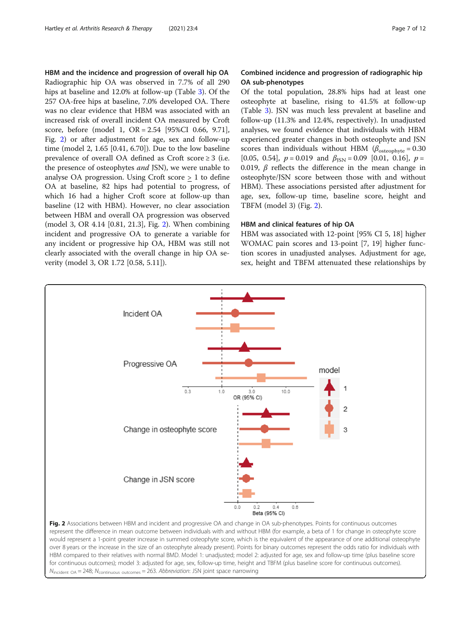HBM and the incidence and progression of overall hip OA Radiographic hip OA was observed in 7.7% of all 290 hips at baseline and 12.0% at follow-up (Table [3\)](#page-5-0). Of the 257 OA-free hips at baseline, 7.0% developed OA. There was no clear evidence that HBM was associated with an increased risk of overall incident OA measured by Croft score, before (model 1, OR = 2.54 [95%CI 0.66, 9.71], Fig. 2) or after adjustment for age, sex and follow-up time (model 2, 1.65 [0.41, 6.70]). Due to the low baseline prevalence of overall OA defined as Croft score ≥ 3 (i.e. the presence of osteophytes *and* JSN), we were unable to analyse OA progression. Using Croft score > 1 to define OA at baseline, 82 hips had potential to progress, of which 16 had a higher Croft score at follow-up than baseline (12 with HBM). However, no clear association between HBM and overall OA progression was observed (model 3, OR 4.14 [0.81, 21.3], Fig. 2). When combining incident and progressive OA to generate a variable for any incident or progressive hip OA, HBM was still not clearly associated with the overall change in hip OA severity (model 3, OR 1.72 [0.58, 5.11]).

#### Combined incidence and progression of radiographic hip OA sub-phenotypes

Of the total population, 28.8% hips had at least one osteophyte at baseline, rising to 41.5% at follow-up (Table [3\)](#page-5-0). JSN was much less prevalent at baseline and follow-up (11.3% and 12.4%, respectively). In unadjusted analyses, we found evidence that individuals with HBM experienced greater changes in both osteophyte and JSN scores than individuals without HBM ( $\beta_{\text{osteophvte}} = 0.30$ [0.05, 0.54],  $p = 0.019$  and  $\beta_{\text{ISN}} = 0.09$  [0.01, 0.16],  $p =$ 0.019,  $\beta$  reflects the difference in the mean change in osteophyte/JSN score between those with and without HBM). These associations persisted after adjustment for age, sex, follow-up time, baseline score, height and TBFM (model 3) (Fig. 2).

#### HBM and clinical features of hip OA

HBM was associated with 12-point [95% CI 5, 18] higher WOMAC pain scores and 13-point [7, 19] higher function scores in unadjusted analyses. Adjustment for age, sex, height and TBFM attenuated these relationships by



would represent a 1-point greater increase in summed osteophyte score, which is the equivalent of the appearance of one additional osteophyte over 8 years or the increase in the size of an osteophyte already present). Points for binary outcomes represent the odds ratio for individuals with HBM compared to their relatives with normal BMD. Model 1: unadjusted; model 2: adjusted for age, sex and follow-up time (plus baseline score for continuous outcomes); model 3: adjusted for age, sex, follow-up time, height and TBFM (plus baseline score for continuous outcomes).  $N_{\text{incident OA}} = 248$ ;  $N_{\text{continuous outcomes}} = 263$ . Abbreviation: JSN joint space narrowing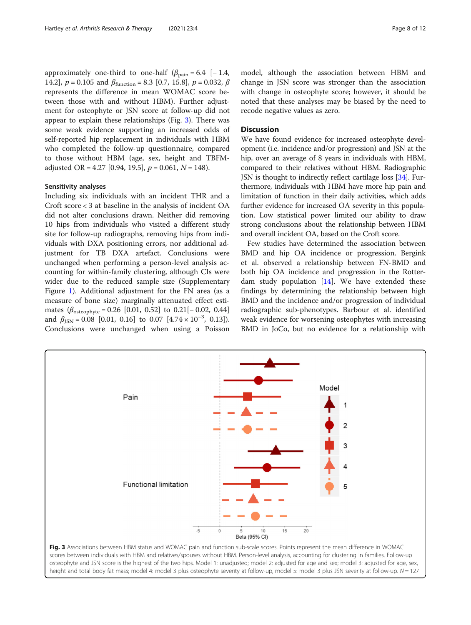approximately one-third to one-half  $(\beta_{\text{pain}} = 6.4 [-1.4,$ 14.2],  $p = 0.105$  and  $\beta_{\text{function}} = 8.3$  [0.7, 15.8],  $p = 0.032$ ,  $\beta$ represents the difference in mean WOMAC score between those with and without HBM). Further adjustment for osteophyte or JSN score at follow-up did not appear to explain these relationships (Fig. 3). There was some weak evidence supporting an increased odds of self-reported hip replacement in individuals with HBM who completed the follow-up questionnaire, compared to those without HBM (age, sex, height and TBFMadjusted OR = 4.27 [0.94, 19.5],  $p = 0.061$ ,  $N = 148$ ).

#### Sensitivity analyses

Including six individuals with an incident THR and a Croft score < 3 at baseline in the analysis of incident OA did not alter conclusions drawn. Neither did removing 10 hips from individuals who visited a different study site for follow-up radiographs, removing hips from individuals with DXA positioning errors, nor additional adjustment for TB DXA artefact. Conclusions were unchanged when performing a person-level analysis accounting for within-family clustering, although CIs were wider due to the reduced sample size (Supplementary Figure [1\)](#page-9-0). Additional adjustment for the FN area (as a measure of bone size) marginally attenuated effect estimates  $(\beta_{\text{osteophyte}} = 0.26 [0.01, 0.52]$  to  $0.21[-0.02, 0.44]$ and  $\beta_{\text{JSN}} = 0.08$  [0.01, 0.16] to 0.07 [4.74 × 10<sup>-3</sup>, 0.13]). Conclusions were unchanged when using a Poisson model, although the association between HBM and change in JSN score was stronger than the association with change in osteophyte score; however, it should be noted that these analyses may be biased by the need to recode negative values as zero.

#### **Discussion**

We have found evidence for increased osteophyte development (i.e. incidence and/or progression) and JSN at the hip, over an average of 8 years in individuals with HBM, compared to their relatives without HBM. Radiographic JSN is thought to indirectly reflect cartilage loss [\[34](#page-10-0)]. Furthermore, individuals with HBM have more hip pain and limitation of function in their daily activities, which adds further evidence for increased OA severity in this population. Low statistical power limited our ability to draw strong conclusions about the relationship between HBM and overall incident OA, based on the Croft score.

Few studies have determined the association between BMD and hip OA incidence or progression. Bergink et al. observed a relationship between FN-BMD and both hip OA incidence and progression in the Rotterdam study population  $[14]$ . We have extended these findings by determining the relationship between high BMD and the incidence and/or progression of individual radiographic sub-phenotypes. Barbour et al. identified weak evidence for worsening osteophytes with increasing BMD in JoCo, but no evidence for a relationship with



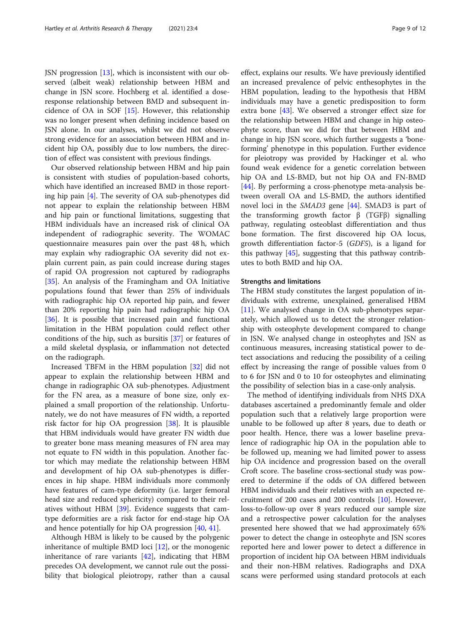JSN progression [[13](#page-10-0)], which is inconsistent with our observed (albeit weak) relationship between HBM and change in JSN score. Hochberg et al. identified a doseresponse relationship between BMD and subsequent incidence of OA in SOF [[15\]](#page-10-0). However, this relationship was no longer present when defining incidence based on JSN alone. In our analyses, whilst we did not observe strong evidence for an association between HBM and incident hip OA, possibly due to low numbers, the direction of effect was consistent with previous findings.

Our observed relationship between HBM and hip pain is consistent with studies of population-based cohorts, which have identified an increased BMD in those reporting hip pain [\[4](#page-10-0)]. The severity of OA sub-phenotypes did not appear to explain the relationship between HBM and hip pain or functional limitations, suggesting that HBM individuals have an increased risk of clinical OA independent of radiographic severity. The WOMAC questionnaire measures pain over the past 48 h, which may explain why radiographic OA severity did not explain current pain, as pain could increase during stages of rapid OA progression not captured by radiographs [[35\]](#page-10-0). An analysis of the Framingham and OA Initiative populations found that fewer than 25% of individuals with radiographic hip OA reported hip pain, and fewer than 20% reporting hip pain had radiographic hip OA [[36\]](#page-10-0). It is possible that increased pain and functional limitation in the HBM population could reflect other conditions of the hip, such as bursitis [[37\]](#page-10-0) or features of a mild skeletal dysplasia, or inflammation not detected on the radiograph.

Increased TBFM in the HBM population [\[32](#page-10-0)] did not appear to explain the relationship between HBM and change in radiographic OA sub-phenotypes. Adjustment for the FN area, as a measure of bone size, only explained a small proportion of the relationship. Unfortunately, we do not have measures of FN width, a reported risk factor for hip OA progression [[38\]](#page-10-0). It is plausible that HBM individuals would have greater FN width due to greater bone mass meaning measures of FN area may not equate to FN width in this population. Another factor which may mediate the relationship between HBM and development of hip OA sub-phenotypes is differences in hip shape. HBM individuals more commonly have features of cam-type deformity (i.e. larger femoral head size and reduced sphericity) compared to their relatives without HBM [\[39](#page-10-0)]. Evidence suggests that camtype deformities are a risk factor for end-stage hip OA and hence potentially for hip OA progression [\[40,](#page-10-0) [41\]](#page-10-0).

Although HBM is likely to be caused by the polygenic inheritance of multiple BMD loci  $[12]$  $[12]$ , or the monogenic inheritance of rare variants [[42](#page-10-0)], indicating that HBM precedes OA development, we cannot rule out the possibility that biological pleiotropy, rather than a causal effect, explains our results. We have previously identified an increased prevalence of pelvic enthesophytes in the HBM population, leading to the hypothesis that HBM individuals may have a genetic predisposition to form extra bone [[43\]](#page-10-0). We observed a stronger effect size for the relationship between HBM and change in hip osteophyte score, than we did for that between HBM and change in hip JSN score, which further suggests a 'boneforming' phenotype in this population. Further evidence for pleiotropy was provided by Hackinger et al. who found weak evidence for a genetic correlation between hip OA and LS-BMD, but not hip OA and FN-BMD [[44\]](#page-11-0). By performing a cross-phenotype meta-analysis between overall OA and LS-BMD, the authors identified novel loci in the SMAD3 gene [\[44](#page-11-0)]. SMAD3 is part of the transforming growth factor β (TGFβ) signalling pathway, regulating osteoblast differentiation and thus bone formation. The first discovered hip OA locus, growth differentiation factor-5 (GDF5), is a ligand for this pathway [\[45\]](#page-11-0), suggesting that this pathway contributes to both BMD and hip OA.

#### Strengths and limitations

The HBM study constitutes the largest population of individuals with extreme, unexplained, generalised HBM [[11\]](#page-10-0). We analysed change in OA sub-phenotypes separately, which allowed us to detect the stronger relationship with osteophyte development compared to change in JSN. We analysed change in osteophytes and JSN as continuous measures, increasing statistical power to detect associations and reducing the possibility of a ceiling effect by increasing the range of possible values from 0 to 6 for JSN and 0 to 10 for osteophytes and eliminating the possibility of selection bias in a case-only analysis.

The method of identifying individuals from NHS DXA databases ascertained a predominantly female and older population such that a relatively large proportion were unable to be followed up after 8 years, due to death or poor health. Hence, there was a lower baseline prevalence of radiographic hip OA in the population able to be followed up, meaning we had limited power to assess hip OA incidence and progression based on the overall Croft score. The baseline cross-sectional study was powered to determine if the odds of OA differed between HBM individuals and their relatives with an expected recruitment of 200 cases and 200 controls [\[10\]](#page-10-0). However, loss-to-follow-up over 8 years reduced our sample size and a retrospective power calculation for the analyses presented here showed that we had approximately 65% power to detect the change in osteophyte and JSN scores reported here and lower power to detect a difference in proportion of incident hip OA between HBM individuals and their non-HBM relatives. Radiographs and DXA scans were performed using standard protocols at each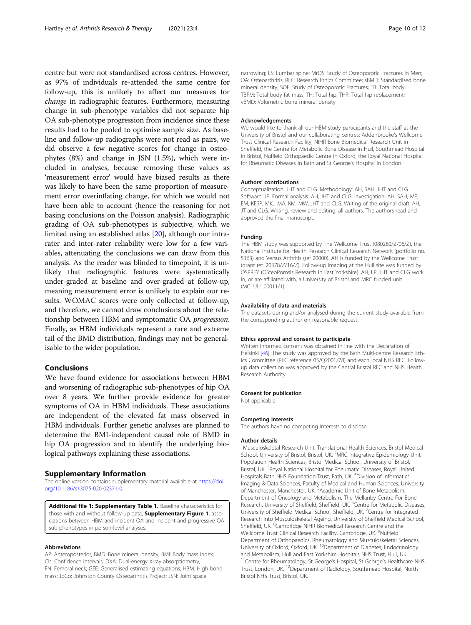<span id="page-9-0"></span>centre but were not standardised across centres. However, as 97% of individuals re-attended the same centre for follow-up, this is unlikely to affect our measures for change in radiographic features. Furthermore, measuring change in sub-phenotype variables did not separate hip OA sub-phenotype progression from incidence since these results had to be pooled to optimise sample size. As baseline and follow-up radiographs were not read as pairs, we did observe a few negative scores for change in osteophytes (8%) and change in JSN (1.5%), which were included in analyses, because removing these values as 'measurement error' would have biased results as there was likely to have been the same proportion of measurement error overinflating change, for which we would not have been able to account (hence the reasoning for not basing conclusions on the Poisson analysis). Radiographic grading of OA sub-phenotypes is subjective, which we limited using an established atlas [\[20](#page-10-0)], although our intrarater and inter-rater reliability were low for a few variables, attenuating the conclusions we can draw from this analysis. As the reader was blinded to timepoint, it is unlikely that radiographic features were systematically under-graded at baseline and over-graded at follow-up, meaning measurement error is unlikely to explain our results. WOMAC scores were only collected at follow-up, and therefore, we cannot draw conclusions about the relationship between HBM and symptomatic OA progression. Finally, as HBM individuals represent a rare and extreme tail of the BMD distribution, findings may not be generalisable to the wider population.

#### Conclusions

We have found evidence for associations between HBM and worsening of radiographic sub-phenotypes of hip OA over 8 years. We further provide evidence for greater symptoms of OA in HBM individuals. These associations are independent of the elevated fat mass observed in HBM individuals. Further genetic analyses are planned to determine the BMI-independent causal role of BMD in hip OA progression and to identify the underlying biological pathways explaining these associations.

#### Supplementary Information

The online version contains supplementary material available at [https://doi.](https://doi.org/10.1186/s13075-020-02371-0) [org/10.1186/s13075-020-02371-0.](https://doi.org/10.1186/s13075-020-02371-0)

Additional file 1: Supplementary Table 1. Baseline characteristics for those with and without follow-up data, **Supplementary Figure 1**. associations between HBM and incident OA and incident and progressive OA sub-phenotypes in person-level analyses.

#### Abbreviations

AP: Anteroposterior; BMD: Bone mineral density; BMI: Body mass index; CIs: Confidence intervals; DXA: Dual-energy X-ray absorptiometry; FN: Femoral neck; GEE: Generalised estimating equations; HBM: High bone mass; JoCo: Johnston County Osteoarthritis Project; JSN: Joint space

narrowing; LS: Lumbar spine; MrOS: Study of Osteoporotic Fractures in Men; OA: Osteoarthritis; REC: Research Ethics Committee; sBMD: Standardised bone mineral density; SOF: Study of Osteoporotic Fractures; TB: Total body; TBFM: Total body fat mass; TH: Total hip; THR: Total hip replacement; vBMD: Volumetric bone mineral density

#### Acknowledgements

We would like to thank all our HBM study participants and the staff at the University of Bristol and our collaborating centres: Addenbrooke's Wellcome Trust Clinical Research Facility, NIHR Bone Biomedical Research Unit in Sheffield, the Centre for Metabolic Bone Disease in Hull, Southmead Hospital in Bristol, Nuffield Orthopaedic Centre in Oxford, the Royal National Hospital for Rheumatic Diseases in Bath and St George's Hospital in London.

#### Authors' contributions

Conceptualization: JHT and CLG. Methodology: AH, SAH, JHT and CLG. Software: JP. Formal analysis: AH, JHT and CLG. Investigation: AH, SAH, MF EM, KESP, MKJ, MA, KM, MW, JHT and CLG. Writing of the original draft: AH, JT and CLG. Writing, review and editing: all authors. The authors read and approved the final manuscript.

#### Funding

The HBM study was supported by The Wellcome Trust (080280/Z/06/Z), the National Institute for Health Research Clinical Research Network (portfolio no. 5163) and Versus Arthritis (ref 20000). AH is funded by the Wellcome Trust (grant ref. 20378/Z/16/Z). Follow-up imaging at the Hull site was funded by OSPREY (OSteoPorosis Research in East Yorkshire). AH, LP, JHT and CLG work in, or are affiliated with, a University of Bristol and MRC funded unit (MC\_UU\_00011/1).

#### Availability of data and materials

The datasets during and/or analysed during the current study available from the corresponding author on reasonable request.

#### Ethics approval and consent to participate

Written informed consent was obtained in line with the Declaration of Helsinki [[46\]](#page-11-0). The study was approved by the Bath Multi-centre Research Ethics Committee (REC reference 05/Q2001/78) and each local NHS REC. Followup data collection was approved by the Central Bristol REC and NHS Health Research Authority.

#### Consent for publication

Not applicable.

#### Competing interests

The authors have no competing interests to disclose.

#### Author details

<sup>1</sup>Musculoskeletal Research Unit, Translational Health Sciences, Bristol Medical School, University of Bristol, Bristol, UK. <sup>2</sup>MRC Integrative Epidemiology Unit Population Health Sciences, Bristol Medical School, University of Bristol, Bristol, UK. <sup>3</sup> Royal National Hospital for Rheumatic Diseases, Royal United Hospitals Bath NHS Foundation Trust, Bath, UK.<sup>4</sup> Division of Informatics Imaging & Data Sciences, Faculty of Medical and Human Sciences, University of Manchester, Manchester, UK.<sup>5</sup> Academic Unit of Bone Metabolism, Department of Oncology and Metabolism, The Mellanby Centre For Bone Research, University of Sheffield, Sheffield, UK. <sup>6</sup>Centre for Metabolic Diseases, University of Sheffield Medical School, Sheffield, UK. <sup>7</sup>Centre for Integrated Research into Musculoskeletal Ageing, University of Sheffield Medical School, Sheffield, UK. <sup>8</sup>Cambridge NIHR Biomedical Research Centre and the Wellcome Trust Clinical Research Facility, Cambridge, UK. <sup>9</sup>Nuffield Department of Orthopaedics, Rheumatology and Musculoskeletal Sciences, University of Oxford, Oxford, UK. <sup>10</sup>Department of Diabetes, Endocrinology and Metabolism, Hull and East Yorkshire Hospitals NHS Trust, Hull, UK. <sup>11</sup>Centre for Rheumatology, St George's Hospital, St George's Healthcare NHS Trust, London, UK. 12Department of Radiology, Southmead Hospital, North Bristol NHS Trust, Bristol, UK.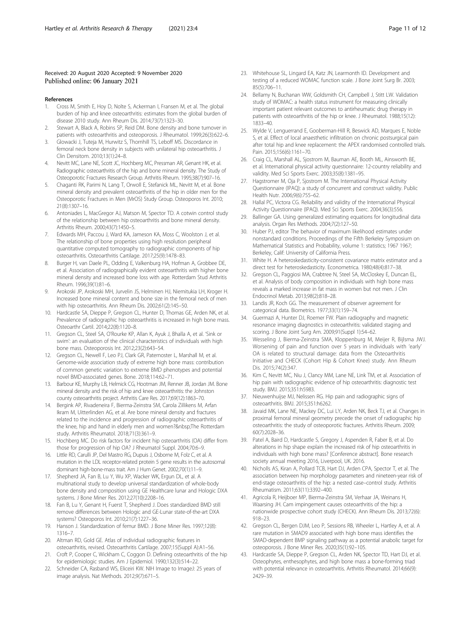#### <span id="page-10-0"></span>Received: 20 August 2020 Accepted: 9 November 2020 Published online: 06 January 2021

#### References

- 1. Cross M, Smith E, Hoy D, Nolte S, Ackerman I, Fransen M, et al. The global burden of hip and knee osteoarthritis: estimates from the global burden of disease 2010 study. Ann Rheum Dis. 2014;73(7):1323–30.
- 2. Stewart A, Black A, Robins SP, Reid DM. Bone density and bone turnover in patients with osteoarthritis and osteoporosis. J Rheumatol. 1999;26(3):622–6.
- 3. Glowacki J, Tuteja M, Hurwitz S, Thornhill TS, Leboff MS. Discordance in femoral neck bone density in subjects with unilateral hip osteoarthritis. J Clin Densitom. 2010;13(1):24–8.
- 4. Nevitt MC, Lane NE, Scott JC, Hochberg MC, Pressman AR, Genant HK, et al. Radiographic osteoarthritis of the hip and bone mineral density. The Study of Osteoporotic Fractures Research Group. Arthritis Rheum. 1995;38(7):907–16.
- 5. Chaganti RK, Parimi N, Lang T, Orwoll E, Stefanick ML, Nevitt M, et al. Bone mineral density and prevalent osteoarthritis of the hip in older men for the Osteoporotic Fractures in Men (MrOS) Study Group. Osteoporos Int. 2010; 21(8):1307–16.
- 6. Antoniades L, MacGregor AJ, Matson M, Spector TD. A cotwin control study of the relationship between hip osteoarthritis and bone mineral density. Arthritis Rheum. 2000;43(7):1450–5.
- 7. Edwards MH, Paccou J, Ward KA, Jameson KA, Moss C, Woolston J, et al. The relationship of bone properties using high resolution peripheral quantitative computed tomography to radiographic components of hip osteoarthritis. Osteoarthritis Cartilage. 2017;25(9):1478–83.
- 8. Burger H, van Daele PL, Odding E, Valkenburg HA, Hofman A, Grobbee DE, et al. Association of radiographically evident osteoarthritis with higher bone mineral density and increased bone loss with age. Rotterdam Stud Arthritis Rheum. 1996;39(1):81–6.
- 9. Arokoski JP, Arokoski MH, Jurvelin JS, Helminen HJ, Niemitukia LH, Kroger H. Increased bone mineral content and bone size in the femoral neck of men with hip osteoarthritis. Ann Rheum Dis. 2002;61(2):145–50.
- 10. Hardcastle SA, Dieppe P, Gregson CL, Hunter D, Thomas GE, Arden NK, et al. Prevalence of radiographic hip osteoarthritis is increased in high bone mass. Osteoarthr Cartil. 2014;22(8):1120–8.
- 11. Gregson CL, Steel SA, O'Rourke KP, Allan K, Ayuk J, Bhalla A, et al. 'Sink or swim': an evaluation of the clinical characteristics of individuals with high bone mass. Osteoporosis Int. 2012;23(2):643–54.
- 12. Gregson CL, Newell F, Leo PJ, Clark GR, Paternoster L, Marshall M, et al. Genome-wide association study of extreme high bone mass: contribution of common genetic variation to extreme BMD phenotypes and potential novel BMD-associated genes. Bone. 2018;114:62–71.
- 13. Barbour KE, Murphy LB, Helmick CG, Hootman JM, Renner JB, Jordan JM. Bone mineral density and the risk of hip and knee osteoarthritis: the Johnston county osteoarthritis project. Arthritis Care Res. 2017;69(12):1863–70.
- 14. Bergink AP, Rivadeneira F, Bierma-Zeinstra SM, Carola Zillikens M, Arfan Ikram M, Uitterlinden AG, et al. Are bone mineral density and fractures related to the incidence and progression of radiographic osteoarthritis of the knee, hip and hand in elderly men and women? The Rotterdam study. Arthritis Rheumatol. 2018;71(3):361–9.
- 15. Hochberg MC. Do risk factors for incident hip osteoarthritis (OA) differ from those for progression of hip OA? J Rheumatol Suppl. 2004;70:6–9.
- 16. Little RD, Carulli JP, Del Mastro RG, Dupuis J, Osborne M, Folz C, et al. A mutation in the LDL receptor-related protein 5 gene results in the autosomal dominant high-bone-mass trait. Am J Hum Genet. 2002;70(1):11–9.
- 17. Shepherd JA, Fan B, Lu Y, Wu XP, Wacker WK, Ergun DL, et al. A multinational study to develop universal standardization of whole-body bone density and composition using GE Healthcare lunar and Hologic DXA systems. J Bone Miner Res. 2012;27(10):2208–16.
- 18. Fan B, Lu Y, Genant H, Fuerst T, Shepherd J. Does standardized BMD still remove differences between Hologic and GE-Lunar state-of-the-art DXA systems? Osteoporos Int. 2010;21(7):1227–36.
- 19. Hanson J. Standardization of femur BMD. J Bone Miner Res. 1997;12(8): 1316–7.
- 20. Altman RD, Gold GE. Atlas of individual radiographic features in osteoarthritis, revised. Osteoarthritis Cartilage. 2007;15(Suppl A):A1–56.
- 21. Croft P, Cooper C, Wickham C, Coggon D. Defining osteoarthritis of the hip for epidemiologic studies. Am J Epidemiol. 1990;132(3):514–22.
- 22. Schneider CA, Rasband WS, Eliceiri KW. NIH Image to ImageJ: 25 years of image analysis. Nat Methods. 2012;9(7):671–5.
- 23. Whitehouse SL, Lingard EA, Katz JN, Learmonth ID. Development and testing of a reduced WOMAC function scale. J Bone Joint Surg Br. 2003; 85(5):706–11.
- 24. Bellamy N, Buchanan WW, Goldsmith CH, Campbell J, Stitt LW. Validation study of WOMAC: a health status instrument for measuring clinically important patient relevant outcomes to antirheumatic drug therapy in patients with osteoarthritis of the hip or knee. J Rheumatol. 1988;15(12): 1833–40.
- 25. Wylde V, Lenguerrand E, Gooberman-Hill R, Beswick AD, Marques E, Noble S, et al. Effect of local anaesthetic infiltration on chronic postsurgical pain after total hip and knee replacement: the APEX randomised controlled trials. Pain. 2015;156(6):1161–70.
- 26. Craig CL, Marshall AL, Sjostrom M, Bauman AE, Booth ML, Ainsworth BE, et al. International physical activity questionnaire: 12-country reliability and validity. Med Sci Sports Exerc. 2003;35(8):1381–95.
- 27. Hagstromer M, Oja P, Sjostrom M. The International Physical Activity Questionnaire (IPAQ): a study of concurrent and construct validity. Public Health Nutr. 2006;9(6):755–62.
- 28. Hallal PC, Victora CG. Reliability and validity of the International Physical Activity Questionnaire (IPAQ). Med Sci Sports Exerc. 2004;36(3):556.
- 29. Ballinger GA. Using generalized estimating equations for longitudinal data analysis. Organ Res Methods. 2004;7(2):127–50.
- 30. Huber PJ, editor The behavior of maximum likelihood estimates under nonstandard conditions. Proceedings of the Fifth Berkeley Symposium on Mathematical Statistics and Probability, volume 1: statistics; 1967 1967; Berkeley, Calif: University of California Press.
- 31. White H. A heteroskedasticity-consistent covariance matrix estimator and a direct test for heteroskedasticity. Econometrica. 1980;48(4):817–38.
- 32. Gregson CL, Paggiosi MA, Crabtree N, Steel SA, McCloskey E, Duncan EL, et al. Analysis of body composition in individuals with high bone mass reveals a marked increase in fat mass in women but not men. J Clin Endocrinol Metab. 2013;98(2):818–28.
- 33. Landis JR, Koch GG. The measurement of observer agreement for categorical data. Biometrics. 1977;33(1):159–74.
- 34. Guermazi A, Hunter DJ, Roemer FW. Plain radiography and magnetic resonance imaging diagnostics in osteoarthritis: validated staging and scoring. J Bone Joint Surg Am. 2009;91(Suppl 1):54–62.
- 35. Wesseling J, Bierma-Zeinstra SMA, Kloppenburg M, Meijer R, Bijlsma JWJ. Worsening of pain and function over 5 years in individuals with 'early' OA is related to structural damage: data from the Osteoarthritis Initiative and CHECK (Cohort Hip & Cohort Knee) study. Ann Rheum Dis. 2015;74(2):347.
- 36. Kim C, Nevitt MC, Niu J, Clancy MM, Lane NE, Link TM, et al. Association of hip pain with radiographic evidence of hip osteoarthritis: diagnostic test study. BMJ. 2015;351:h5983.
- 37. Nieuwenhuijse MJ, Nelissen RG. Hip pain and radiographic signs of osteoarthritis. BMJ. 2015;351:h6262.
- 38. Javaid MK, Lane NE, Mackey DC, Lui LY, Arden NK, Beck TJ, et al. Changes in proximal femoral mineral geometry precede the onset of radiographic hip osteoarthritis: the study of osteoporotic fractures. Arthritis Rheum. 2009; 60(7):2028–36.
- 39. Patel A, Baird D, Hardcastle S, Gregory J, Aspenden R, Faber B, et al. Do alterations in hip shape explain the increased risk of hip osteoarthritis in individuals with high bone mass? [Conference abstract]. Bone research society annual meeting 2016, Liverpool, UK. 2016.
- 40. Nicholls AS, Kiran A, Pollard TCB, Hart DJ, Arden CPA, Spector T, et al. The association between hip morphology parameters and nineteen-year risk of end-stage osteoarthritis of the hip: a nested case–control study. Arthritis Rheumatism. 2011;63(11):3392–400.
- 41. Agricola R, Heijboer MP, Bierma-Zeinstra SM, Verhaar JA, Weinans H, Waarsing JH. Cam impingement causes osteoarthritis of the hip: a nationwide prospective cohort study (CHECK). Ann Rheum Dis. 2013;72(6): 918–23.
- 42. Gregson CL, Bergen DJM, Leo P, Sessions RB, Wheeler L, Hartley A, et al. A rare mutation in SMAD9 associated with high bone mass identifies the SMAD-dependent BMP signaling pathway as a potential anabolic target for osteoporosis. J Bone Miner Res. 2020;35(1):92–105.
- 43. Hardcastle SA, Dieppe P, Gregson CL, Arden NK, Spector TD, Hart DJ, et al. Osteophytes, enthesophytes, and high bone mass a bone-forming triad with potential relevance in osteoarthritis. Arthritis Rheumatol. 2014;66(9): 2429–39.